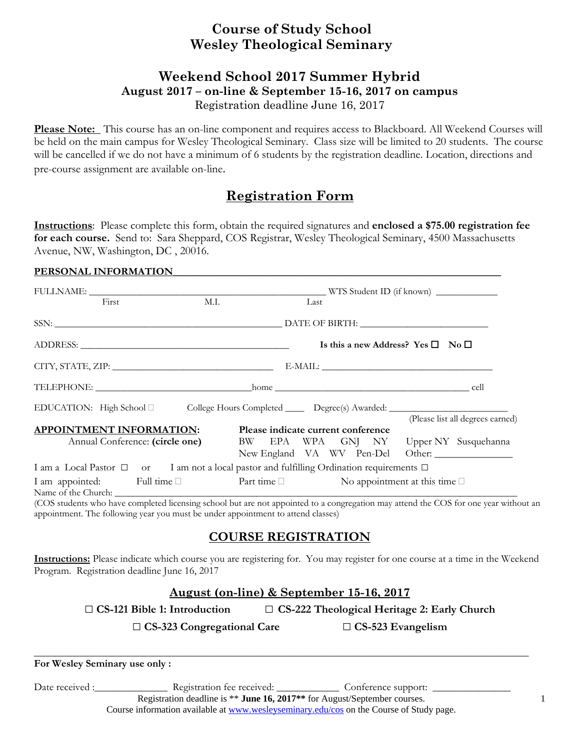## **Course of Study School Wesley Theological Seminary**

### **Weekend School 2017 Summer Hybrid August 2017 – on-line & September 15-16, 2017 on campus**  Registration deadline June 16, 2017

**Please Note:** This course has an on-line component and requires access to Blackboard. All Weekend Courses will be held on the main campus for Wesley Theological Seminary. Class size will be limited to 20 students. The course will be cancelled if we do not have a minimum of 6 students by the registration deadline. Location, directions and pre-course assignment are available on-line.

# **Registration Form**

**Instructions**: Please complete this form, obtain the required signatures and **enclosed a \$75.00 registration fee for each course.** Send to: Sara Sheppard, COS Registrar, Wesley Theological Seminary, 4500 Massachusetts Avenue, NW, Washington, DC , 20016.

#### PERSONAL INFORMATION

|                                                                                                      | First                           | M.I. |                                        | Last |  |  |                                                   |                                  |
|------------------------------------------------------------------------------------------------------|---------------------------------|------|----------------------------------------|------|--|--|---------------------------------------------------|----------------------------------|
|                                                                                                      |                                 |      |                                        |      |  |  |                                                   |                                  |
|                                                                                                      |                                 |      |                                        |      |  |  | Is this a new Address? Yes $\square$ No $\square$ |                                  |
|                                                                                                      |                                 |      |                                        |      |  |  |                                                   |                                  |
|                                                                                                      |                                 |      |                                        |      |  |  |                                                   |                                  |
| EDUCATION: High School D College Hours Completed ______ Degree(s) Awarded: _________________________ |                                 |      |                                        |      |  |  |                                                   | (Please list all degrees earned) |
| <b>APPOINTMENT INFORMATION:</b>                                                                      |                                 |      | Please indicate current conference     |      |  |  |                                                   |                                  |
|                                                                                                      | Annual Conference: (circle one) |      | BW EPA WPA GNJ NY Upper NY Susquehanna |      |  |  |                                                   | New England VA WV Pen-Del Other: |
| I am a Local Pastor □ or I am not a local pastor and fulfilling Ordination requirements □            |                                 |      |                                        |      |  |  |                                                   |                                  |
| I am appointed: Full time □ Part time □ No appointment at this time □                                |                                 |      |                                        |      |  |  |                                                   |                                  |

(COS students who have completed licensing school but are not appointed to a congregation may attend the COS for one year without an appointment. The following year you must be under appointment to attend classes)

## **COURSE REGISTRATION**

**Instructions:** Please indicate which course you are registering for. You may register for one course at a time in the Weekend Program. Registration deadline June 16, 2017

## **August (on-line) & September 15-16, 2017**

□ **CS-121 Bible 1: Introduction** □ **CS-222 Theological Heritage 2: Early Church**

□ **CS-323** Congregational Care □ **CS-523** Evangelism

| For Wesley Seminary use only: |  |  |  |
|-------------------------------|--|--|--|

Date received :\_\_\_\_\_\_\_\_\_\_\_\_\_\_\_\_\_ Registration fee received: \_\_\_\_\_\_\_\_\_\_\_\_\_\_ Conference support: \_

Registration deadline is \*\* **June 16, 2017\*\*** for August/September courses.

Course information available at www.wesleyseminary.edu/cos on the Course of Study page.

1